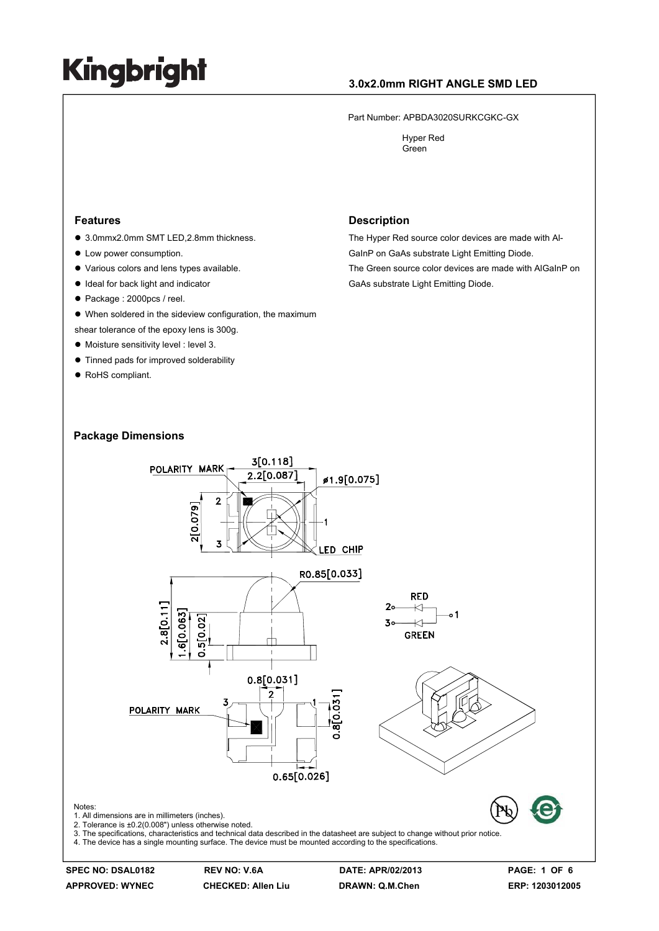### **3.0x2.0mm RIGHT ANGLE SMD LED**

Part Number: APBDA3020SURKCGKC-GX

 Hyper Red Green

#### **Features**

- 3.0mmx2.0mm SMT LED,2.8mm thickness.
- Low power consumption.
- Various colors and lens types available.
- $\bullet$  Ideal for back light and indicator
- Package : 2000pcs / reel.
- $\bullet$  When soldered in the sideview configuration, the maximum
- shear tolerance of the epoxy lens is 300g.
- $\bullet$  Moisture sensitivity level : level 3.
- $\bullet$  Tinned pads for improved solderability
- RoHS compliant.

#### **Description**

The Hyper Red source color devices are made with Al-GaInP on GaAs substrate Light Emitting Diode.

The Green source color devices are made with AlGaInP on GaAs substrate Light Emitting Diode.





**APPROVED: WYNEC CHECKED: Allen Liu DRAWN: Q.M.Chen ERP: 1203012005** 

**SPEC NO: DSAL0182 REV NO: V.6A DATE: APR/02/2013 PAGE: 1 OF 6**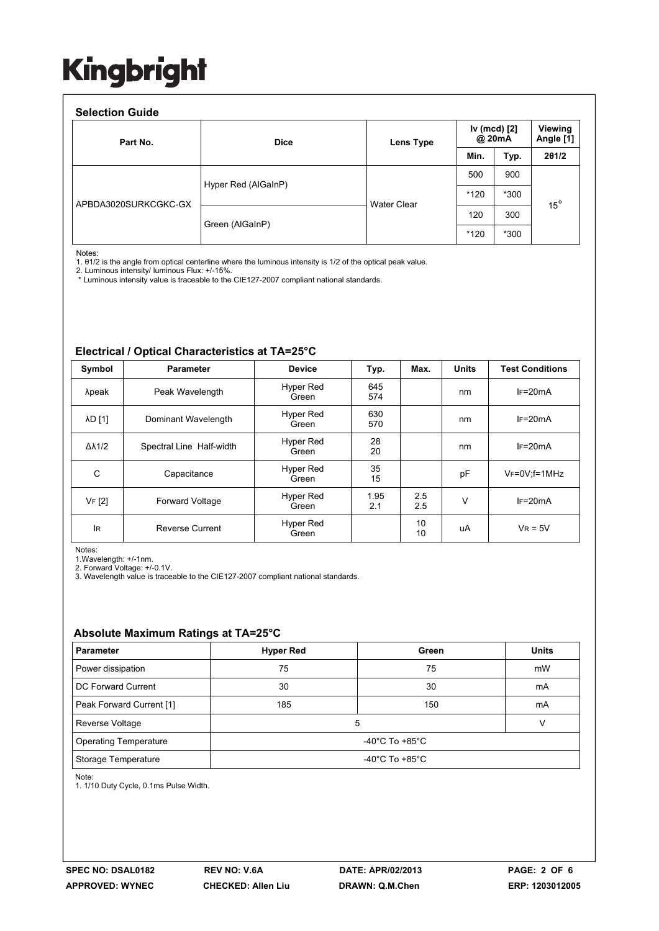#### **Selection Guide**

| Part No.             | <b>Dice</b>         | Lens Type          | Iv (mcd) [2]<br>@ 20mA |      | Viewing<br>Angle [1] |
|----------------------|---------------------|--------------------|------------------------|------|----------------------|
|                      |                     |                    | Min.                   | Typ. | 201/2                |
| APBDA3020SURKCGKC-GX | Hyper Red (AlGaInP) | <b>Water Clear</b> | 500                    | 900  | $15^{\circ}$         |
|                      |                     |                    | $*120$                 | *300 |                      |
|                      | Green (AlGaInP)     |                    | 120                    | 300  |                      |
|                      |                     |                    | $*120$                 | *300 |                      |

Notes:

1. θ1/2 is the angle from optical centerline where the luminous intensity is 1/2 of the optical peak value.

2. Luminous intensity/ luminous Flux: +/-15%.

\* Luminous intensity value is traceable to the CIE127-2007 compliant national standards.

#### **Electrical / Optical Characteristics at TA=25°C**

| Symbol              | <b>Parameter</b>         | <b>Device</b>      | Typ.        | Max.       | <b>Units</b> | <b>Test Conditions</b> |  |
|---------------------|--------------------------|--------------------|-------------|------------|--------------|------------------------|--|
| λpeak               | Peak Wavelength          | Hyper Red<br>Green | 645<br>574  |            | nm           | $IF=20mA$              |  |
| <b>AD [1]</b>       | Dominant Wavelength      | Hyper Red<br>Green | 630<br>570  |            | nm           | $IF=20mA$              |  |
| $\Delta\lambda$ 1/2 | Spectral Line Half-width | Hyper Red<br>Green | 28<br>20    |            | nm           | $IF=20mA$              |  |
| C                   | Capacitance              | Hyper Red<br>Green | 35<br>15    |            | pF           | $V_F = 0V$ ; f=1MHz    |  |
| VF [2]              | Forward Voltage          | Hyper Red<br>Green | 1.95<br>2.1 | 2.5<br>2.5 | $\vee$       | $IF=20mA$              |  |
| <b>IR</b>           | <b>Reverse Current</b>   | Hyper Red<br>Green |             | 10<br>10   | uA           | $V_R = 5V$             |  |

Notes:

1.Wavelength: +/-1nm.

2. Forward Voltage: +/-0.1V. 3. Wavelength value is traceable to the CIE127-2007 compliant national standards.

### **Absolute Maximum Ratings at TA=25°C**

| <b>Parameter</b>             | <b>Hyper Red</b> | Green | <b>Units</b> |  |  |
|------------------------------|------------------|-------|--------------|--|--|
| Power dissipation            | 75               | 75    | mW           |  |  |
| DC Forward Current           | 30               | 30    | mA           |  |  |
| Peak Forward Current [1]     | 185              | 150   | mA           |  |  |
| Reverse Voltage              | 5                |       |              |  |  |
| <b>Operating Temperature</b> | -40°C To +85°C   |       |              |  |  |
| Storage Temperature          | -40°C To +85°C   |       |              |  |  |

Note:

1. 1/10 Duty Cycle, 0.1ms Pulse Width.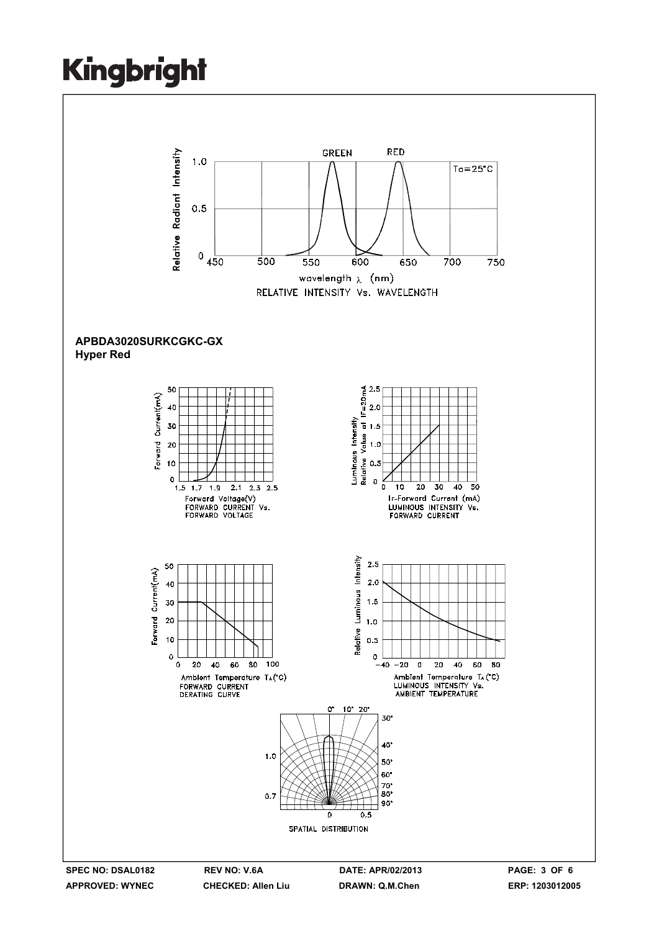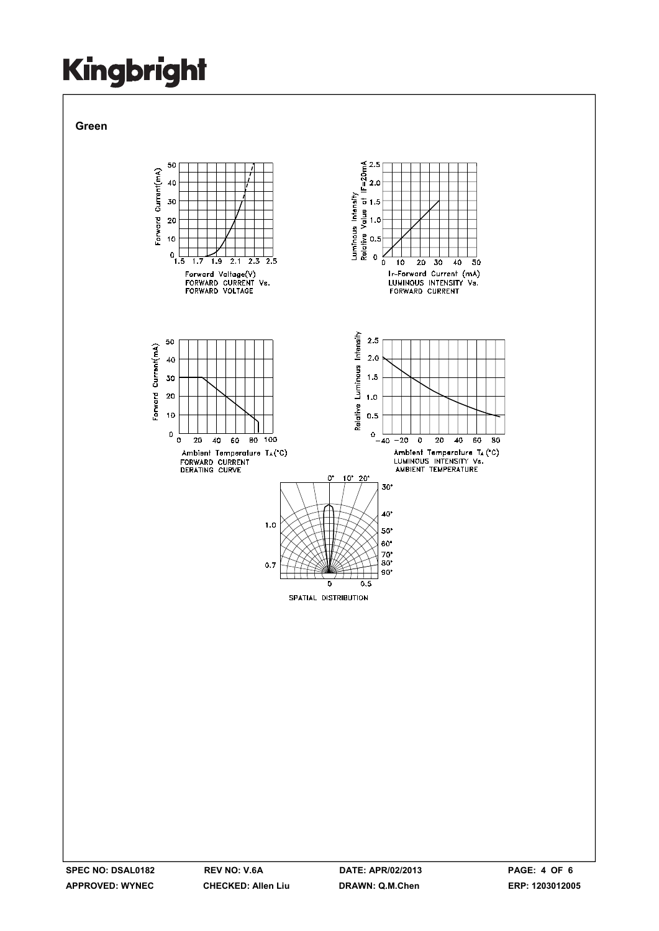**Green** 

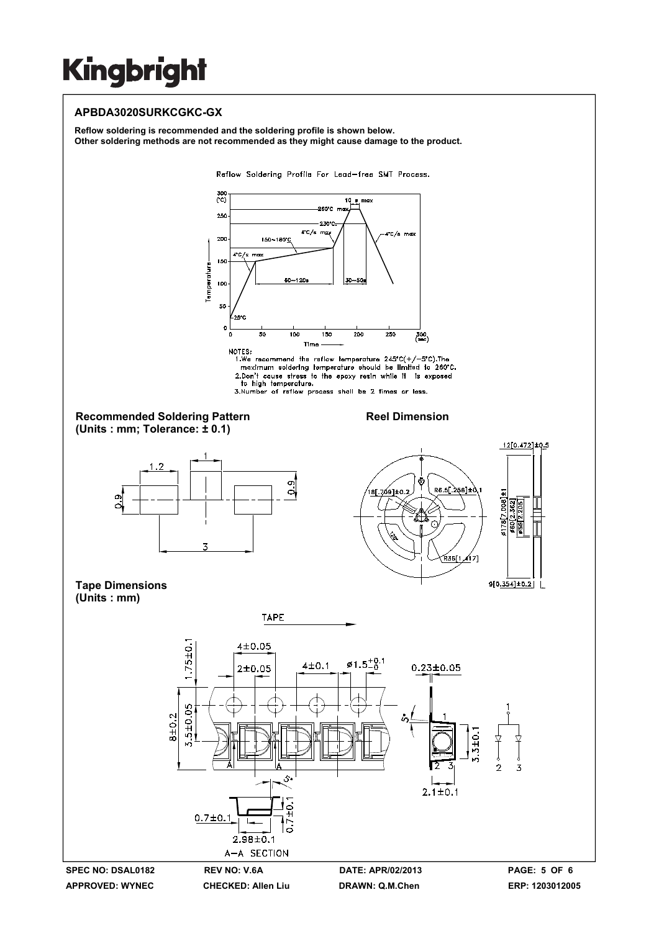### **APBDA3020SURKCGKC-GX**

**Reflow soldering is recommended and the soldering profile is shown below. Other soldering methods are not recommended as they might cause damage to the product.** 

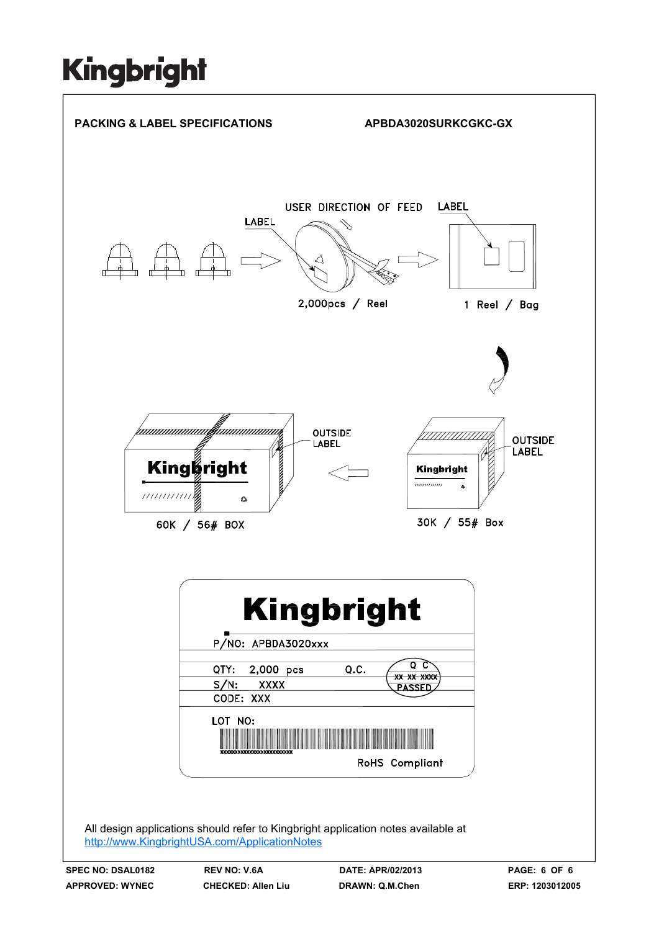